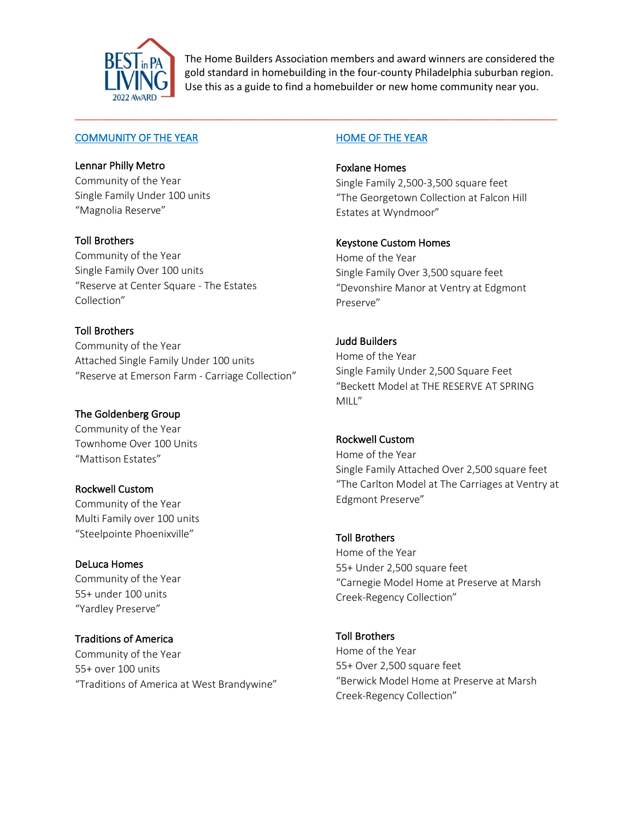

The Home Builders Association members and award winners are considered the gold standard in homebuilding in the four-county Philadelphia suburban region. Use this as a guide to find a homebuilder or new home community near you.

\_\_\_\_\_\_\_\_\_\_\_\_\_\_\_\_\_\_\_\_\_\_\_\_\_\_\_\_\_\_\_\_\_\_\_\_\_\_\_\_\_\_\_\_\_\_\_\_\_\_\_\_\_\_\_\_\_\_\_\_\_\_\_\_\_\_\_\_\_\_\_\_\_\_\_\_\_\_\_\_\_\_\_\_\_

#### COMMUNITY OF THE YEAR

#### Lennar Philly Metro

Community of the Year Single Family Under 100 units "Magnolia Reserve"

#### Toll Brothers

Community of the Year Single Family Over 100 units "Reserve at Center Square - The Estates Collection"

# Toll Brothers

Community of the Year Attached Single Family Under 100 units "Reserve at Emerson Farm - Carriage Collection"

#### The Goldenberg Group

Community of the Year Townhome Over 100 Units "Mattison Estates"

## Rockwell Custom

Community of the Year Multi Family over 100 units "Steelpointe Phoenixville"

## DeLuca Homes

Community of the Year 55+ under 100 units "Yardley Preserve"

## Traditions of America

Community of the Year 55+ over 100 units "Traditions of America at West Brandywine"

## HOME OF THE YEAR

Foxlane Homes Single Family 2,500-3,500 square feet "The Georgetown Collection at Falcon Hill Estates at Wyndmoor"

# Keystone Custom Homes

Home of the Year Single Family Over 3,500 square feet "Devonshire Manor at Ventry at Edgmont Preserve"

# Judd Builders

Home of the Year Single Family Under 2,500 Square Feet "Beckett Model at THE RESERVE AT SPRING MILL"

## Rockwell Custom

Home of the Year Single Family Attached Over 2,500 square feet "The Carlton Model at The Carriages at Ventry at Edgmont Preserve"

## Toll Brothers

Home of the Year 55+ Under 2,500 square feet "Carnegie Model Home at Preserve at Marsh Creek-Regency Collection"

Toll Brothers Home of the Year 55+ Over 2,500 square feet "Berwick Model Home at Preserve at Marsh Creek-Regency Collection"